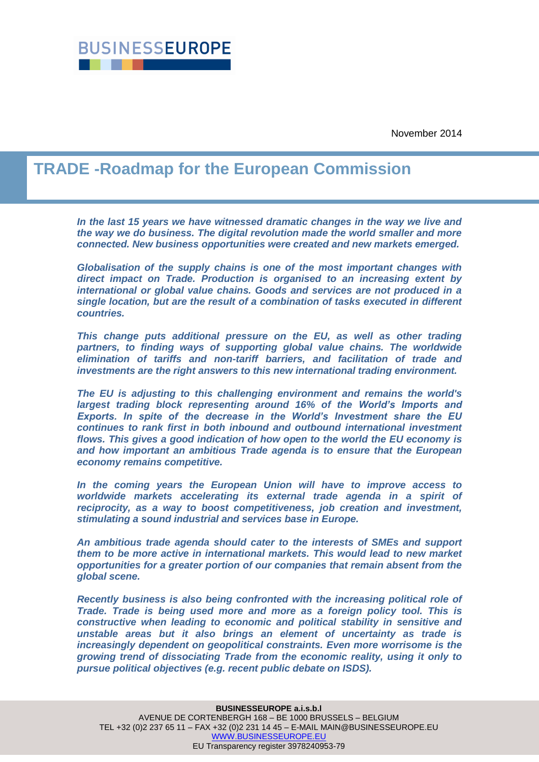

November 2014

# **TRADE -Roadmap for the European Commission**

In the last 15 years we have witnessed dramatic changes in the way we live and *the way we do business. The digital revolution made the world smaller and more connected. New business opportunities were created and new markets emerged.*

*Globalisation of the supply chains is one of the most important changes with direct impact on Trade. Production is organised to an increasing extent by international or global value chains. Goods and services are not produced in a single location, but are the result of a combination of tasks executed in different countries.*

*This change puts additional pressure on the EU, as well as other trading partners, to finding ways of supporting global value chains. The worldwide elimination of tariffs and non-tariff barriers, and facilitation of trade and investments are the right answers to this new international trading environment.* 

*The EU is adjusting to this challenging environment and remains the world's largest trading block representing around 16% of the World's Imports and Exports. In spite of the decrease in the World's Investment share the EU continues to rank first in both inbound and outbound international investment flows. This gives a good indication of how open to the world the EU economy is and how important an ambitious Trade agenda is to ensure that the European economy remains competitive.*

*In the coming years the European Union will have to improve access to worldwide markets accelerating its external trade agenda in a spirit of reciprocity, as a way to boost competitiveness, job creation and investment, stimulating a sound industrial and services base in Europe.* 

*An ambitious trade agenda should cater to the interests of SMEs and support them to be more active in international markets. This would lead to new market opportunities for a greater portion of our companies that remain absent from the global scene.*

*Recently business is also being confronted with the increasing political role of Trade. Trade is being used more and more as a foreign policy tool. This is constructive when leading to economic and political stability in sensitive and unstable areas but it also brings an element of uncertainty as trade is increasingly dependent on geopolitical constraints. Even more worrisome is the growing trend of dissociating Trade from the economic reality, using it only to pursue political objectives (e.g. recent public debate on ISDS).*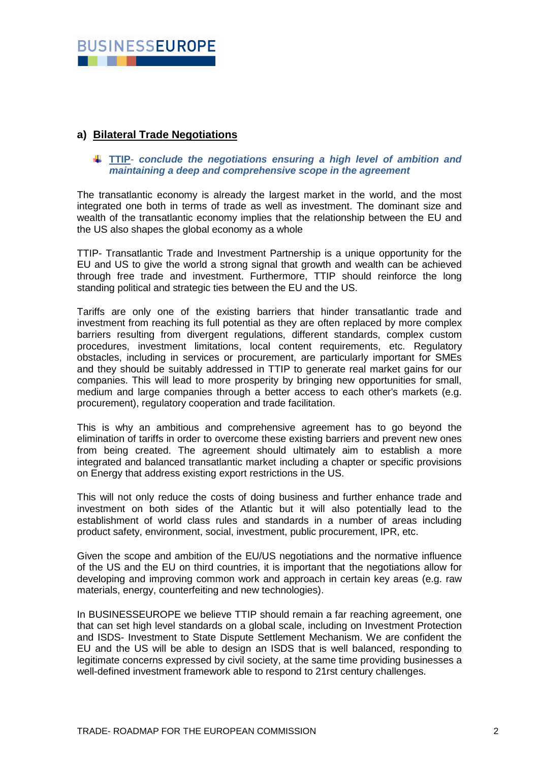

## **a) Bilateral Trade Negotiations**

## **TTIP**- *conclude the negotiations ensuring a high level of ambition and maintaining a deep and comprehensive scope in the agreement*

The transatlantic economy is already the largest market in the world, and the most integrated one both in terms of trade as well as investment. The dominant size and wealth of the transatlantic economy implies that the relationship between the EU and the US also shapes the global economy as a whole

TTIP- Transatlantic Trade and Investment Partnership is a unique opportunity for the EU and US to give the world a strong signal that growth and wealth can be achieved through free trade and investment. Furthermore, TTIP should reinforce the long standing political and strategic ties between the EU and the US.

Tariffs are only one of the existing barriers that hinder transatlantic trade and investment from reaching its full potential as they are often replaced by more complex barriers resulting from divergent regulations, different standards, complex custom procedures, investment limitations, local content requirements, etc. Regulatory obstacles, including in services or procurement, are particularly important for SMEs and they should be suitably addressed in TTIP to generate real market gains for our companies. This will lead to more prosperity by bringing new opportunities for small, medium and large companies through a better access to each other's markets (e.g. procurement), regulatory cooperation and trade facilitation.

This is why an ambitious and comprehensive agreement has to go beyond the elimination of tariffs in order to overcome these existing barriers and prevent new ones from being created. The agreement should ultimately aim to establish a more integrated and balanced transatlantic market including a chapter or specific provisions on Energy that address existing export restrictions in the US.

This will not only reduce the costs of doing business and further enhance trade and investment on both sides of the Atlantic but it will also potentially lead to the establishment of world class rules and standards in a number of areas including product safety, environment, social, investment, public procurement, IPR, etc.

Given the scope and ambition of the EU/US negotiations and the normative influence of the US and the EU on third countries, it is important that the negotiations allow for developing and improving common work and approach in certain key areas (e.g. raw materials, energy, counterfeiting and new technologies).

In BUSINESSEUROPE we believe TTIP should remain a far reaching agreement, one that can set high level standards on a global scale, including on Investment Protection and ISDS- Investment to State Dispute Settlement Mechanism. We are confident the EU and the US will be able to design an ISDS that is well balanced, responding to legitimate concerns expressed by civil society, at the same time providing businesses a well-defined investment framework able to respond to 21rst century challenges.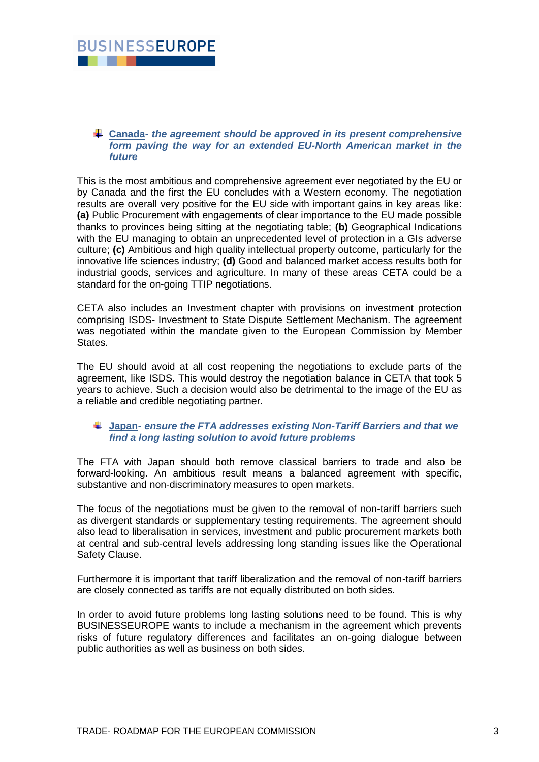

#### **Canada***- the agreement should be approved in its present comprehensive form paving the way for an extended EU-North American market in the future*

This is the most ambitious and comprehensive agreement ever negotiated by the EU or by Canada and the first the EU concludes with a Western economy. The negotiation results are overall very positive for the EU side with important gains in key areas like: **(a)** Public Procurement with engagements of clear importance to the EU made possible thanks to provinces being sitting at the negotiating table; **(b)** Geographical Indications with the EU managing to obtain an unprecedented level of protection in a GIs adverse culture; **(c)** Ambitious and high quality intellectual property outcome, particularly for the innovative life sciences industry; **(d)** Good and balanced market access results both for industrial goods, services and agriculture. In many of these areas CETA could be a standard for the on-going TTIP negotiations.

CETA also includes an Investment chapter with provisions on investment protection comprising ISDS- Investment to State Dispute Settlement Mechanism. The agreement was negotiated within the mandate given to the European Commission by Member States.

The EU should avoid at all cost reopening the negotiations to exclude parts of the agreement, like ISDS. This would destroy the negotiation balance in CETA that took 5 years to achieve. Such a decision would also be detrimental to the image of the EU as a reliable and credible negotiating partner.

## **Japan***- ensure the FTA addresses existing Non-Tariff Barriers and that we find a long lasting solution to avoid future problems*

The FTA with Japan should both remove classical barriers to trade and also be forward-looking. An ambitious result means a balanced agreement with specific, substantive and non-discriminatory measures to open markets.

The focus of the negotiations must be given to the removal of non-tariff barriers such as divergent standards or supplementary testing requirements. The agreement should also lead to liberalisation in services, investment and public procurement markets both at central and sub-central levels addressing long standing issues like the Operational Safety Clause.

Furthermore it is important that tariff liberalization and the removal of non-tariff barriers are closely connected as tariffs are not equally distributed on both sides.

In order to avoid future problems long lasting solutions need to be found. This is why BUSINESSEUROPE wants to include a mechanism in the agreement which prevents risks of future regulatory differences and facilitates an on-going dialogue between public authorities as well as business on both sides.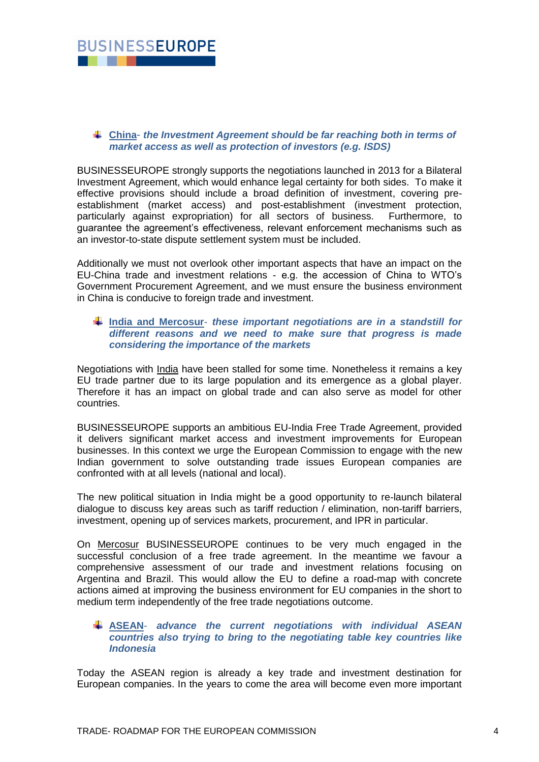

## **China**- *the Investment Agreement should be far reaching both in terms of market access as well as protection of investors (e.g. ISDS)*

BUSINESSEUROPE strongly supports the negotiations launched in 2013 for a Bilateral Investment Agreement, which would enhance legal certainty for both sides. To make it effective provisions should include a broad definition of investment, covering preestablishment (market access) and post-establishment (investment protection, particularly against expropriation) for all sectors of business. Furthermore, to guarantee the agreement's effectiveness, relevant enforcement mechanisms such as an investor-to-state dispute settlement system must be included.

Additionally we must not overlook other important aspects that have an impact on the EU-China trade and investment relations - e.g. the accession of China to WTO's Government Procurement Agreement, and we must ensure the business environment in China is conducive to foreign trade and investment.

## **India and Mercosur**- *these important negotiations are in a standstill for different reasons and we need to make sure that progress is made considering the importance of the markets*

Negotiations with *India* have been stalled for some time. Nonetheless it remains a key EU trade partner due to its large population and its emergence as a global player. Therefore it has an impact on global trade and can also serve as model for other countries.

BUSINESSEUROPE supports an ambitious EU-India Free Trade Agreement, provided it delivers significant market access and investment improvements for European businesses. In this context we urge the European Commission to engage with the new Indian government to solve outstanding trade issues European companies are confronted with at all levels (national and local).

The new political situation in India might be a good opportunity to re-launch bilateral dialogue to discuss key areas such as tariff reduction / elimination, non-tariff barriers, investment, opening up of services markets, procurement, and IPR in particular.

On Mercosur BUSINESSEUROPE continues to be very much engaged in the successful conclusion of a free trade agreement. In the meantime we favour a comprehensive assessment of our trade and investment relations focusing on Argentina and Brazil. This would allow the EU to define a road-map with concrete actions aimed at improving the business environment for EU companies in the short to medium term independently of the free trade negotiations outcome.

## **ASEAN***- advance the current negotiations with individual ASEAN countries also trying to bring to the negotiating table key countries like Indonesia*

Today the ASEAN region is already a key trade and investment destination for European companies. In the years to come the area will become even more important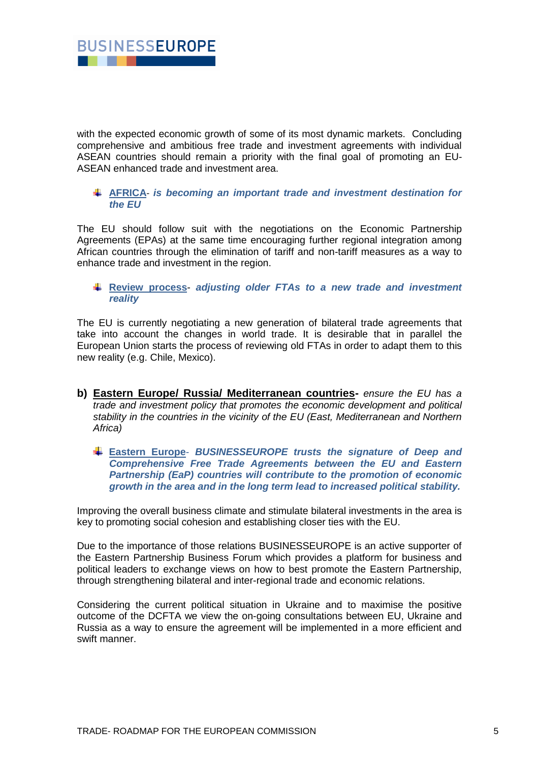

with the expected economic growth of some of its most dynamic markets. Concluding comprehensive and ambitious free trade and investment agreements with individual ASEAN countries should remain a priority with the final goal of promoting an EU-ASEAN enhanced trade and investment area.

## **AFRICA**- *is becoming an important trade and investment destination for the EU*

The EU should follow suit with the negotiations on the Economic Partnership Agreements (EPAs) at the same time encouraging further regional integration among African countries through the elimination of tariff and non-tariff measures as a way to enhance trade and investment in the region.

**Review process***- adjusting older FTAs to a new trade and investment reality*

The EU is currently negotiating a new generation of bilateral trade agreements that take into account the changes in world trade. It is desirable that in parallel the European Union starts the process of reviewing old FTAs in order to adapt them to this new reality (e.g. Chile, Mexico).

- **b) Eastern Europe/ Russia/ Mediterranean countries-** *ensure the EU has a trade and investment policy that promotes the economic development and political stability in the countries in the vicinity of the EU (East, Mediterranean and Northern Africa)*
	- **Eastern Europe** *BUSINESSEUROPE trusts the signature of Deep and Comprehensive Free Trade Agreements between the EU and Eastern Partnership (EaP) countries will contribute to the promotion of economic growth in the area and in the long term lead to increased political stability.*

Improving the overall business climate and stimulate bilateral investments in the area is key to promoting social cohesion and establishing closer ties with the EU.

Due to the importance of those relations BUSINESSEUROPE is an active supporter of the Eastern Partnership Business Forum which provides a platform for business and political leaders to exchange views on how to best promote the Eastern Partnership, through strengthening bilateral and inter-regional trade and economic relations.

Considering the current political situation in Ukraine and to maximise the positive outcome of the DCFTA we view the on-going consultations between EU, Ukraine and Russia as a way to ensure the agreement will be implemented in a more efficient and swift manner.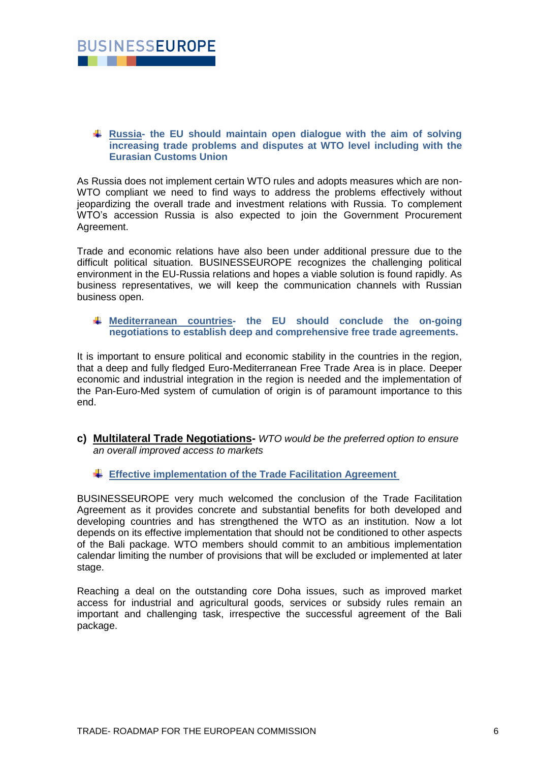

#### **Russia- the EU should maintain open dialogue with the aim of solving increasing trade problems and disputes at WTO level including with the Eurasian Customs Union**

As Russia does not implement certain WTO rules and adopts measures which are non-WTO compliant we need to find ways to address the problems effectively without jeopardizing the overall trade and investment relations with Russia. To complement WTO's accession Russia is also expected to join the Government Procurement Agreement.

Trade and economic relations have also been under additional pressure due to the difficult political situation. BUSINESSEUROPE recognizes the challenging political environment in the EU-Russia relations and hopes a viable solution is found rapidly. As business representatives, we will keep the communication channels with Russian business open.

## **Mediterranean countries- the EU should conclude the on-going negotiations to establish deep and comprehensive free trade agreements.**

It is important to ensure political and economic stability in the countries in the region, that a deep and fully fledged Euro-Mediterranean Free Trade Area is in place. Deeper economic and industrial integration in the region is needed and the implementation of the Pan-Euro-Med system of cumulation of origin is of paramount importance to this end.

- **c) Multilateral Trade Negotiations-** *WTO would be the preferred option to ensure an overall improved access to markets*
	- **Effective implementation of the Trade Facilitation Agreement**

BUSINESSEUROPE very much welcomed the conclusion of the Trade Facilitation Agreement as it provides concrete and substantial benefits for both developed and developing countries and has strengthened the WTO as an institution. Now a lot depends on its effective implementation that should not be conditioned to other aspects of the Bali package. WTO members should commit to an ambitious implementation calendar limiting the number of provisions that will be excluded or implemented at later stage.

Reaching a deal on the outstanding core Doha issues, such as improved market access for industrial and agricultural goods, services or subsidy rules remain an important and challenging task, irrespective the successful agreement of the Bali package.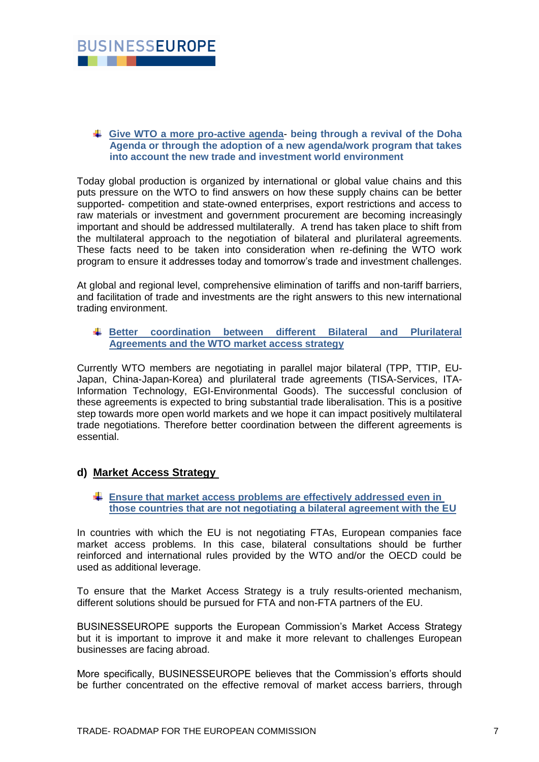

#### **Give WTO a more pro-active agenda**- **being through a revival of the Doha Agenda or through the adoption of a new agenda/work program that takes into account the new trade and investment world environment**

Today global production is organized by international or global value chains and this puts pressure on the WTO to find answers on how these supply chains can be better supported- competition and state-owned enterprises, export restrictions and access to raw materials or investment and government procurement are becoming increasingly important and should be addressed multilaterally. A trend has taken place to shift from the multilateral approach to the negotiation of bilateral and plurilateral agreements. These facts need to be taken into consideration when re-defining the WTO work program to ensure it addresses today and tomorrow's trade and investment challenges.

At global and regional level, comprehensive elimination of tariffs and non-tariff barriers, and facilitation of trade and investments are the right answers to this new international trading environment.

**Better coordination between different Bilateral and Plurilateral Agreements and the WTO market access strategy**

Currently WTO members are negotiating in parallel major bilateral (TPP, TTIP, EU-Japan, China-Japan-Korea) and plurilateral trade agreements (TISA-Services, ITA-Information Technology, EGI-Environmental Goods). The successful conclusion of these agreements is expected to bring substantial trade liberalisation. This is a positive step towards more open world markets and we hope it can impact positively multilateral trade negotiations. Therefore better coordination between the different agreements is essential.

## **d) Market Access Strategy**

**Ensure that market access problems are effectively addressed even in those countries that are not negotiating a bilateral agreement with the EU**

In countries with which the EU is not negotiating FTAs, European companies face market access problems. In this case, bilateral consultations should be further reinforced and international rules provided by the WTO and/or the OECD could be used as additional leverage.

To ensure that the Market Access Strategy is a truly results-oriented mechanism, different solutions should be pursued for FTA and non-FTA partners of the EU.

BUSINESSEUROPE supports the European Commission's Market Access Strategy but it is important to improve it and make it more relevant to challenges European businesses are facing abroad.

More specifically, BUSINESSEUROPE believes that the Commission's efforts should be further concentrated on the effective removal of market access barriers, through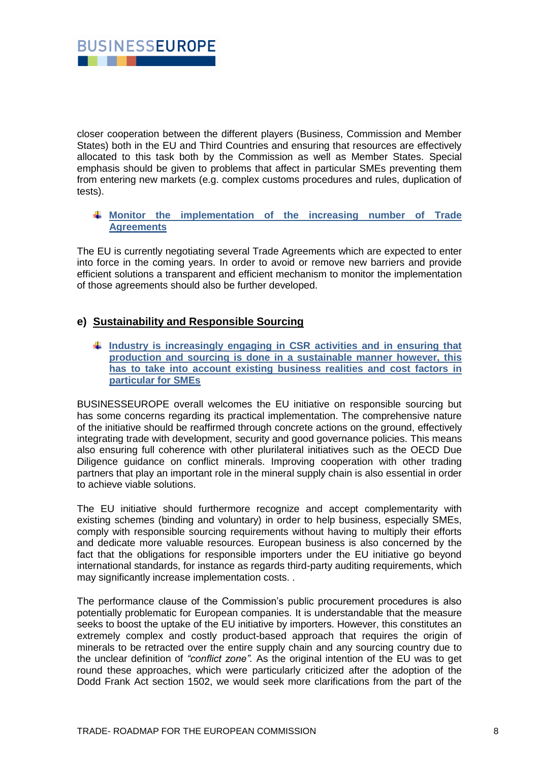

closer cooperation between the different players (Business, Commission and Member States) both in the EU and Third Countries and ensuring that resources are effectively allocated to this task both by the Commission as well as Member States. Special emphasis should be given to problems that affect in particular SMEs preventing them from entering new markets (e.g. complex customs procedures and rules, duplication of tests).

## **Monitor the implementation of the increasing number of Trade Agreements**

The EU is currently negotiating several Trade Agreements which are expected to enter into force in the coming years. In order to avoid or remove new barriers and provide efficient solutions a transparent and efficient mechanism to monitor the implementation of those agreements should also be further developed.

# **e) Sustainability and Responsible Sourcing**

**Industry is increasingly engaging in CSR activities and in ensuring that production and sourcing is done in a sustainable manner however, this has to take into account existing business realities and cost factors in particular for SMEs**

BUSINESSEUROPE overall welcomes the EU initiative on responsible sourcing but has some concerns regarding its practical implementation. The comprehensive nature of the initiative should be reaffirmed through concrete actions on the ground, effectively integrating trade with development, security and good governance policies. This means also ensuring full coherence with other plurilateral initiatives such as the OECD Due Diligence guidance on conflict minerals. Improving cooperation with other trading partners that play an important role in the mineral supply chain is also essential in order to achieve viable solutions.

The EU initiative should furthermore recognize and accept complementarity with existing schemes (binding and voluntary) in order to help business, especially SMEs, comply with responsible sourcing requirements without having to multiply their efforts and dedicate more valuable resources. European business is also concerned by the fact that the obligations for responsible importers under the EU initiative go beyond international standards, for instance as regards third-party auditing requirements, which may significantly increase implementation costs. .

The performance clause of the Commission's public procurement procedures is also potentially problematic for European companies. It is understandable that the measure seeks to boost the uptake of the EU initiative by importers. However, this constitutes an extremely complex and costly product-based approach that requires the origin of minerals to be retracted over the entire supply chain and any sourcing country due to the unclear definition of *"conflict zone".* As the original intention of the EU was to get round these approaches, which were particularly criticized after the adoption of the Dodd Frank Act section 1502, we would seek more clarifications from the part of the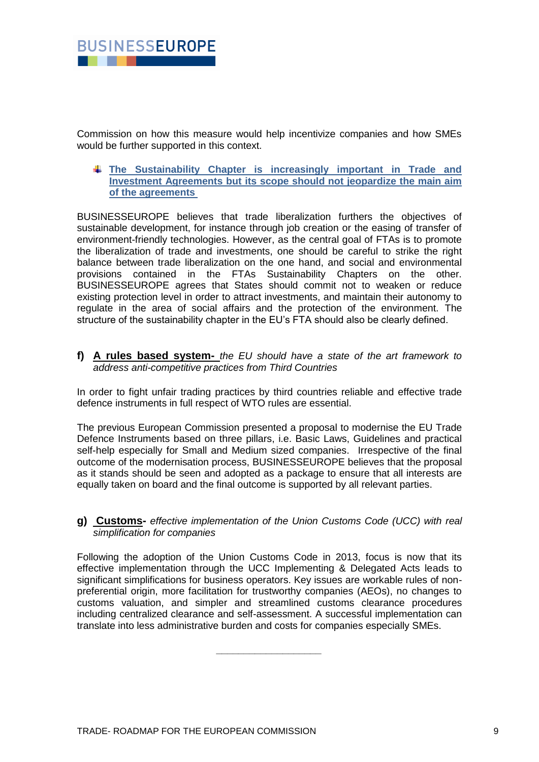

Commission on how this measure would help incentivize companies and how SMEs would be further supported in this context.

**The Sustainability Chapter is increasingly important in Trade and Investment Agreements but its scope should not jeopardize the main aim of the agreements** 

BUSINESSEUROPE believes that trade liberalization furthers the objectives of sustainable development, for instance through job creation or the easing of transfer of environment-friendly technologies. However, as the central goal of FTAs is to promote the liberalization of trade and investments, one should be careful to strike the right balance between trade liberalization on the one hand, and social and environmental provisions contained in the FTAs Sustainability Chapters on the other. BUSINESSEUROPE agrees that States should commit not to weaken or reduce existing protection level in order to attract investments, and maintain their autonomy to regulate in the area of social affairs and the protection of the environment. The structure of the sustainability chapter in the EU's FTA should also be clearly defined.

**f) A rules based system-** *the EU should have a state of the art framework to address anti-competitive practices from Third Countries*

In order to fight unfair trading practices by third countries reliable and effective trade defence instruments in full respect of WTO rules are essential.

The previous European Commission presented a proposal to modernise the EU Trade Defence Instruments based on three pillars, i.e. Basic Laws, Guidelines and practical self-help especially for Small and Medium sized companies. Irrespective of the final outcome of the modernisation process, BUSINESSEUROPE believes that the proposal as it stands should be seen and adopted as a package to ensure that all interests are equally taken on board and the final outcome is supported by all relevant parties.

**g) Customs-** *effective implementation of the Union Customs Code (UCC) with real simplification for companies*

Following the adoption of the Union Customs Code in 2013, focus is now that its effective implementation through the UCC Implementing & Delegated Acts leads to significant simplifications for business operators. Key issues are workable rules of nonpreferential origin, more facilitation for trustworthy companies (AEOs), no changes to customs valuation, and simpler and streamlined customs clearance procedures including centralized clearance and self-assessment. A successful implementation can translate into less administrative burden and costs for companies especially SMEs.

*\_\_\_\_\_\_\_\_\_\_\_\_\_\_\_\_\_\_\_*